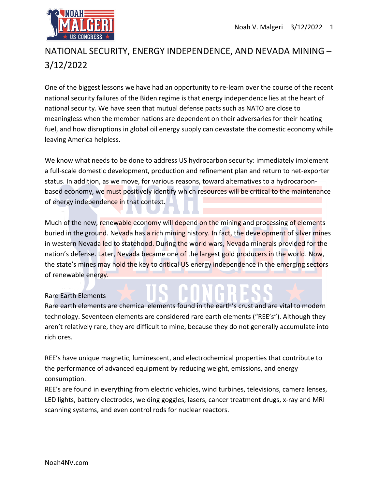

## NATIONAL SECURITY, ENERGY INDEPENDENCE, AND NEVADA MINING – 3/12/2022

One of the biggest lessons we have had an opportunity to re-learn over the course of the recent national security failures of the Biden regime is that energy independence lies at the heart of national security. We have seen that mutual defense pacts such as NATO are close to meaningless when the member nations are dependent on their adversaries for their heating fuel, and how disruptions in global oil energy supply can devastate the domestic economy while leaving America helpless.

We know what needs to be done to address US hydrocarbon security: immediately implement a full-scale domestic development, production and refinement plan and return to net-exporter status. In addition, as we move, for various reasons, toward alternatives to a hydrocarbonbased economy, we must positively identify which resources will be critical to the maintenance of energy independence in that context.

Much of the new, renewable economy will depend on the mining and processing of elements buried in the ground. Nevada has a rich mining history. In fact, the development of silver mines in western Nevada led to statehood. During the world wars, Nevada minerals provided for the nation's defense. Later, Nevada became one of the largest gold producers in the world. Now, the state's mines may hold the key to critical US energy independence in the emerging sectors of renewable energy.

## Rare Earth Elements

Rare earth elements are chemical elements found in the earth's crust and are vital to modern technology. Seventeen elements are considered rare earth elements ("REE's"). Although they aren't relatively rare, they are difficult to mine, because they do not generally accumulate into rich ores.

REE's have unique magnetic, luminescent, and electrochemical properties that contribute to the performance of advanced equipment by reducing weight, emissions, and energy consumption.

REE's are found in everything from electric vehicles, wind turbines, televisions, camera lenses, LED lights, battery electrodes, welding goggles, lasers, cancer treatment drugs, x-ray and MRI scanning systems, and even control rods for nuclear reactors.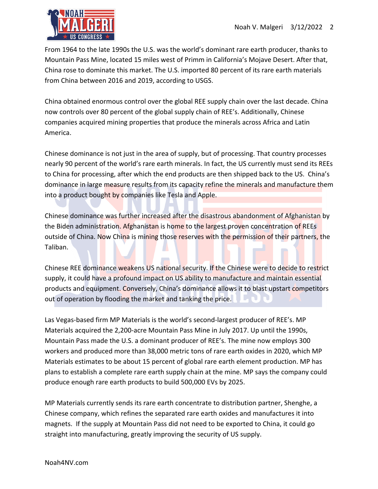

From 1964 to the late 1990s the U.S. was the world's dominant rare earth producer, thanks to Mountain Pass Mine, located 15 miles west of Primm in California's Mojave Desert. After that, China rose to dominate this market. The U.S. imported 80 percent of its rare earth materials from China between 2016 and 2019, according to USGS.

China obtained enormous control over the global REE supply chain over the last decade. China now controls over 80 percent of the global supply chain of REE's. Additionally, Chinese companies acquired mining properties that produce the minerals across Africa and Latin America.

Chinese dominance is not just in the area of supply, but of processing. That country processes nearly 90 percent of the world's rare earth minerals. In fact, the US currently must send its REEs to China for processing, after which the end products are then shipped back to the US. China's dominance in large measure results from its capacity refine the minerals and manufacture them into a product bought by companies like Tesla and Apple.

Chinese dominance was further increased after the disastrous abandonment of Afghanistan by the Biden administration. Afghanistan is home to the largest proven concentration of REEs outside of China. Now China is mining those reserves with the permission of their partners, the Taliban.

Chinese REE dominance weakens US national security. If the Chinese were to decide to restrict supply, it could have a profound impact on US ability to manufacture and maintain essential products and equipment. Conversely, China's dominance allows it to blast upstart competitors out of operation by flooding the market and tanking the price.

Las Vegas-based firm MP Materials is the world's second-largest producer of REE's. MP Materials acquired the 2,200-acre Mountain Pass Mine in July 2017. Up until the 1990s, Mountain Pass made the U.S. a dominant producer of REE's. The mine now employs 300 workers and produced more than 38,000 metric tons of rare earth oxides in 2020, which MP Materials estimates to be about 15 percent of global rare earth element production. MP has plans to establish a complete rare earth supply chain at the mine. MP says the company could produce enough rare earth products to build 500,000 EVs by 2025.

MP Materials currently sends its rare earth concentrate to distribution partner, Shenghe, a Chinese company, which refines the separated rare earth oxides and manufactures it into magnets. If the supply at Mountain Pass did not need to be exported to China, it could go straight into manufacturing, greatly improving the security of US supply.